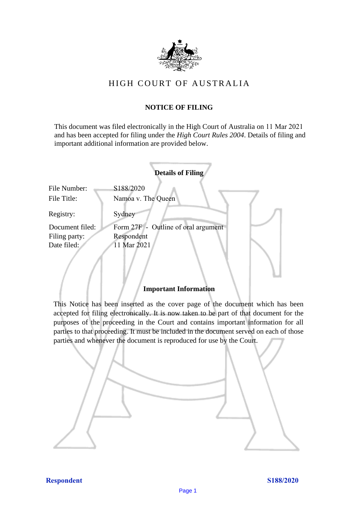

# HIGH COURT OF AU STRALIA HIGH COURT OF AUSTRALIA

# **NOTICE OF FILING** NOTICE OF FILING

This document was filed electronically in the High Court of Australia on 11 Mar 2021 and has been accepted for filing under the *High Court Rules 2004*. Details of filing and important additional information are provided below. important additional information are provided below.

|                             | <b>Details of Filing</b>            |
|-----------------------------|-------------------------------------|
| File Number:<br>File Title: | S188/2020<br>Namoa v. The Queen     |
| Registry:                   | Sydney                              |
| Document filed:             | Form 27F - Outline of oral argument |
| Filing party:               | Respondent                          |
| Date filed:                 | 11 Mar 2021                         |
|                             |                                     |

## **Important Information** Important Information

This Notice has been inserted as the cover page of the document which has been accepted for filing electronically. It is now taken to be part of that document for the purposes of the proceeding in the Court and contains important information for all parties to that proceeding. It must be included in the document served on each of those parties and whenever the document is reproduced for use by the Court. parties and whenever the document is reproduced for use by the Court

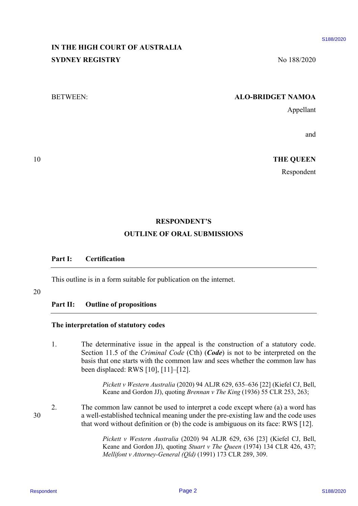# **IN THE HIGH COURT OF AUSTRALIA** IN THE HIGH COURT OF AUSTRALIA **SYDNEY REGISTRY** No 188/2020

### BETWEEN: **ALO-BRIDGET NAMOA** BETWEEN: ALO-BRIDGET NAMOA

Appellant Appellant

and and

10 **THE QUEEN** 10 THE QUEEN

Respondent Respondent

#### **RESPONDENT'S** RESPONDENT'S

#### **OUTLINE OF ORAL SUBMISSIONS** OUTLINE OF ORAL SUBMISSIONS

### **Part I: Certification** Part I: Certification

This outline is in a form suitable for publication on the internet. This outline is in <sup>a</sup> form suitable for publication on the internet.

#### 20 20

# **Part II: Outline of propositions** Part II: Outline of propositions

#### **The interpretation of statutory codes** The interpretation of statutory codes

1. The determinative issue in the appeal is the construction of a statutory code. 1. The determinative issue in the appeal is the construction of <sup>a</sup> statutory code. Section 11.5 of the *Criminal Code* (Cth) (*Code*) is not to be interpreted on the basis that one starts with the common law and sees whether the common law has basis that one starts with the common law and sees whether the common law has been displaced: RWS [10], [11]–[12]. been displaced: RWS [10], [11]-[12]. RESPONDENT TO A LISTERATIAN<br>
SYDNEY REGISTRY<br>
SYDNEY REGISTRY<br>
SETVEEN:<br>
SETVEEN:<br>
SETVEN EXAMPLE AND A SUPPOSE TAXMOA<br>
A predium<br>
and<br>
THE QUEEN<br>
RESPONDENT'S<br>
CHECK RESPONDENT'S<br>
OUTTLINE OF ORAL SUPMESSIONS<br>
Page 1<br>
Pa

*Pickett v Western Australia* (2020) 94 ALJR 629, 635–636 [22] (Kiefel CJ, Bell, Pickett v Western Australia (2020) 94 ALJR 629, 635-636 [22] (Kiefel CJ, Bell, Keane and Gordon JJ), quoting *Brennan v The King* (1936) 55 CLR 253, 263; Keane and Gordon JJ), quoting Brennan v The King (1936) 55 CLR 253, 263;

2. The common law cannot be used to interpret a code except where (a) a word has 2. The common law cannot be used to interpret <sup>a</sup> code except where (a) a word has 30 a well-established technical meaning under the pre-existing law and the code uses 30 <sup>a</sup> well-established technical meaning under the pre-existing law and the code uses that word without definition or (b) the code is ambiguous on its face: RWS [12]. that word without definition or (b) the code is ambiguous on its face: RWS [12].

> *Pickett v Western Australia* (2020) 94 ALJR 629, 636 [23] (Kiefel CJ, Bell, Pickett v Western Australia (2020) 94 ALJR 629, 636 [23] (Kiefel CJ, Bell, Keane and Gordon JJ), quoting *Stuart v The Queen* (1974) 134 CLR 426, 437; Keane and Gordon JJ), quoting Stuart v The Queen (1974) 134 CLR 426, 437; *Mellifont v Attorney-General (Qld)* (1991) 173 CLR 289, 309. Mellifont vAttorney-General (Qld) (1991) 173 CLR 289, 309.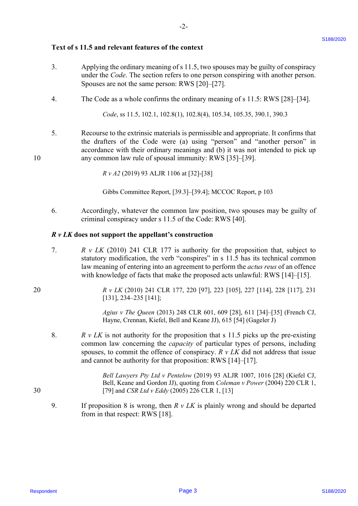### **Text of s 11.5 and relevant features of the context** Text of <sup>s</sup> 11.5 and relevant features of the context

- 3. Applying the ordinary meaning of s 11.5, two spouses may be guilty of conspiracy Applying the ordinary meaning of <sup>s</sup> 11.5, two spouses may be guilty of conspiracy under the *Code*. The section refers to one person conspiring with another person. under the Code. The section refers to one person conspiring with another person. Spouses are not the same person: RWS [20]–[27]. Spouses are not the same person: RWS [20]-[27]. 3.
- 4. The Code as a whole confirms the ordinary meaning of s 11.5: RWS [28]–[34]. The Code as a whole confirms the ordinary meaning of <sup>s</sup> 11.5: RWS [28]-[34]. 4.

Code, ss 11.5, 102.1, 102.8(1), 102.8(4), 105.34, 105.35, 390.1, 390.3

5. Recourse to the extrinsic materials is permissible and appropriate. It confirms that Recourse to the extrinsic materials is permissible and appropriate. It confirms that the drafters of the Code were (a) using "person" and "another person" in the drafters of the Code were (a) using "person" and "another person" in accordance with their ordinary meanings and (b) it was not intended to pick up accordance with their ordinary meanings and (b) it was not intended to pick up 10 any common law rule of spousal immunity: RWS [35]–[39]. any common law rule of spousal immunity: RWS [35]-[39]. 5.

*R v A2* (2019) 93 ALJR 1106 at [32]-[38] Rv A2 (2019) <sup>93</sup> ALJR <sup>1106</sup> at [32]-[38]

Gibbs Committee Report, [39.3]–[39.4]; MCCOC Report, p 103 Gibbs Committee Report, [39.3]-[39.4]; MCCOC Report, p 103

6. Accordingly, whatever the common law position, two spouses may be guilty of Accordingly, whatever the common law position, two spouses may be guilty of criminal conspiracy under s 11.5 of the Code: RWS [40]. criminal conspiracy under <sup>s</sup> 11.5 of the Code: RWS [40]. 6.

## *R v LK* **does not support the appellant's construction** R v LK does not support the appellant's construction

- 7. *R v LK* (2010) 241 CLR 177 is authority for the proposition that, subject to R v LK (2010) 241 CLR 177 is authority for the proposition that, subject to statutory modification, the verb "conspires" in s 11.5 has its technical common law meaning of entering into an agreement to perform the *actus reus* of an offence with knowledge of facts that make the proposed acts unlawful: RWS [14]–[15]. with knowledge of facts that make the proposed acts unlawful: RWS [14]-[15]. 7.
- 20 *R v LK* (2010) 241 CLR 177, 220 [97], 223 [105], 227 [114], 228 [117], 231 <sup>R</sup> v LK (2010) 241 CLR 177, 220 [97], 223 [105], 227 [114], 228 [117], 231 [131], 234–235 [141]; [131], 234-235 [141];

*Agius v The Queen* (2013) 248 CLR 601, 609 [28], 611 [34]–[35] (French CJ, Agius v The Queen (2013) 248 CLR 601, 609 [28], 611 [34]-[35] (French CJ, Hayne, Crennan, Kiefel, Bell and Keane JJ), 615 [54] (Gageler J) Hayne, Crennan, Kiefel, Bell and Keane JJ), 615 [54] (Gageler J)

8.  $R \, v \, LK$  is not authority for the proposition that s 11.5 picks up the pre-existing common law concerning the *capacity* of particular types of persons, including common law concerning the capacity of particular types of persons, including spouses, to commit the offence of conspiracy.  $R v LK$  did not address that issue and cannot be authority for that proposition: RWS [14]–[17]. and cannot be authority for that proposition: RWS [14]-[17]. Text of s 11.5 and relevant features of the context<br>
3. A propins also context and the context and the sum spaces may be guilty of commission<br>
2. A made the Colef. The section release one process response to a<br>space secti 8.

*Bell Lawyers Pty Ltd v Pentelow* (2019) 93 ALJR 1007, 1016 [28] (Kiefel CJ, Bell Lawyers Pty Ltd v Pentelow (2019) 93 ALJR 1007, 1016 [28] (Kiefel CJ, Bell, Keane and Gordon JJ), quoting from *Coleman v Power* (2004) 220 CLR 1, Bell, Keane and Gordon JJ), quoting from Coleman v Power (2004) 220 CLR 1, 30 [79] and *CSR Ltd v Eddy* (2005) 226 CLR 1, [13] [79] and CSR Ltdv Eddy (2005) <sup>226</sup> CLR 1, [13]

9. If proposition 8 is wrong, then  $R v LK$  is plainly wrong and should be departed from in that respect: RWS [18]. from in that respect: RWS [18]. 9.

10

20

30